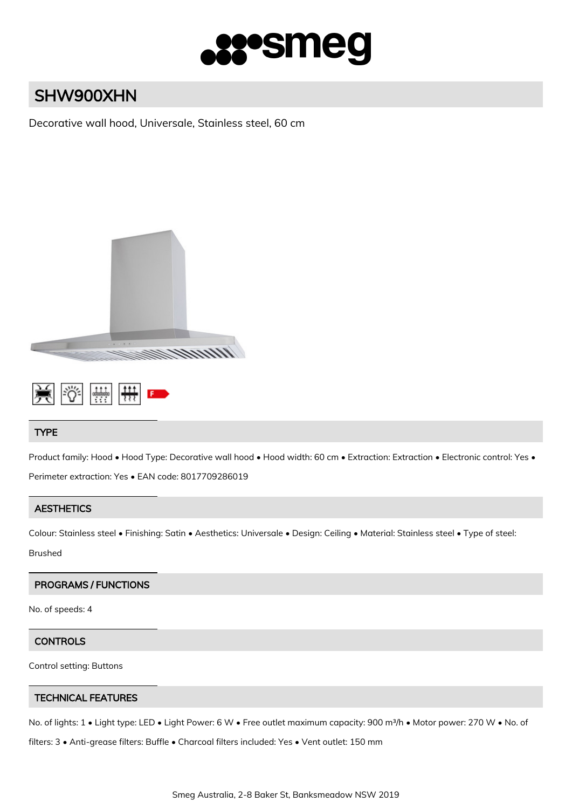

# SHW900XHN

Decorative wall hood, Universale, Stainless steel, 60 cm





# TYPE

Product family: Hood • Hood Type: Decorative wall hood • Hood width: 60 cm • Extraction: Extraction • Electronic control: Yes • Perimeter extraction: Yes • EAN code: 8017709286019

# **AESTHETICS**

Colour: Stainless steel • Finishing: Satin • Aesthetics: Universale • Design: Ceiling • Material: Stainless steel • Type of steel:

Brushed

# PROGRAMS / FUNCTIONS

No. of speeds: 4

#### **CONTROLS**

Control setting: Buttons

# TECHNICAL FEATURES

No. of lights: 1 • Light type: LED • Light Power: 6 W • Free outlet maximum capacity: 900 m<sup>3</sup>/h • Motor power: 270 W • No. of

filters: 3 • Anti-grease filters: Buffle • Charcoal filters included: Yes • Vent outlet: 150 mm